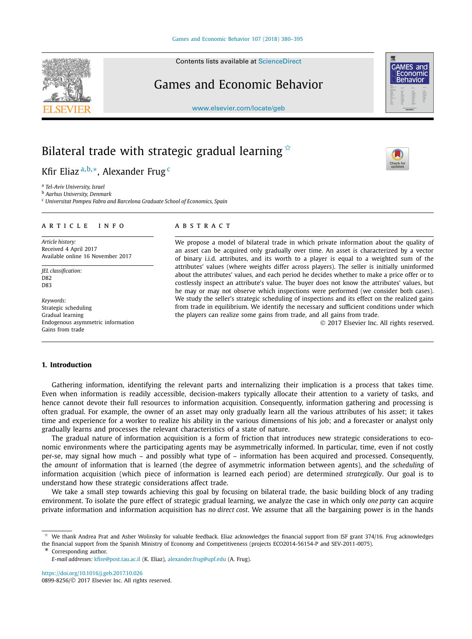Contents lists available at [ScienceDirect](http://www.ScienceDirect.com/)

# Games and Economic Behavior

[www.elsevier.com/locate/geb](http://www.elsevier.com/locate/geb)

# Bilateral trade with strategic gradual learning  $\dot{x}$

Kfir Eliaz <sup>a</sup>*,*b*,*∗, Alexander Frug <sup>c</sup>

<sup>a</sup> *Tel-Aviv University, Israel*

<sup>b</sup> *Aarhus University, Denmark*

<sup>c</sup> *Universitat Pompeu Fabra and Barcelona Graduate School of Economics, Spain*

# A R T I C L E I N F O A B S T R A C T

*Article history:* Received 4 April 2017 Available online 16 November 2017

*JEL classification:* D<sub>82</sub> D83

*Keywords:* Strategic scheduling Gradual learning Endogenous asymmetric information Gains from trade

We propose a model of bilateral trade in which private information about the quality of an asset can be acquired only gradually over time. An asset is characterized by a vector of binary i.i.d. attributes, and its worth to a player is equal to a weighted sum of the attributes' values (where weights differ across players). The seller is initially uninformed about the attributes' values, and each period he decides whether to make a price offer or to costlessly inspect an attribute's value. The buyer does not know the attributes' values, but he may or may not observe which inspections were performed (we consider both cases). We study the seller's strategic scheduling of inspections and its effect on the realized gains from trade in equilibrium. We identify the necessary and sufficient conditions under which the players can realize some gains from trade, and all gains from trade.

© 2017 Elsevier Inc. All rights reserved.

# **1. Introduction**

Gathering information, identifying the relevant parts and internalizing their implication is a process that takes time. Even when information is readily accessible, decision-makers typically allocate their attention to a variety of tasks, and hence cannot devote their full resources to information acquisition. Consequently, information gathering and processing is often gradual. For example, the owner of an asset may only gradually learn all the various attributes of his asset; it takes time and experience for a worker to realize his ability in the various dimensions of his job; and a forecaster or analyst only gradually learns and processes the relevant characteristics of a state of nature.

The gradual nature of information acquisition is a form of friction that introduces new strategic considerations to economic environments where the participating agents may be asymmetrically informed. In particular, time, even if not costly per-se, may signal how much – and possibly what type of – information has been acquired and processed. Consequently, the *amount* of information that is learned (the degree of asymmetric information between agents), and the *scheduling* of information acquisition (which piece of information is learned each period) are determined *strategically*. Our goal is to understand how these strategic considerations affect trade.

We take a small step towards achieving this goal by focusing on bilateral trade, the basic building block of any trading environment. To isolate the pure effect of strategic gradual learning, we analyze the case in which only *one party* can acquire private information and information acquisition has *no direct cost*. We assume that all the bargaining power is in the hands

Corresponding author.

<https://doi.org/10.1016/j.geb.2017.10.026> 0899-8256/© 2017 Elsevier Inc. All rights reserved.







We thank Andrea Prat and Asher Wolinsky for valuable feedback. Eliaz acknowledges the financial support from ISF grant 374/16. Frug acknowledges the financial support from the Spanish Ministry of Economy and Competitiveness (projects ECO2014-56154-P and SEV-2011-0075).

*E-mail addresses:* [kfire@post.tau.ac.il](mailto:kfire@post.tau.ac.il) (K. Eliaz), [alexander.frug@upf.edu](mailto:alexander.frug@upf.edu) (A. Frug).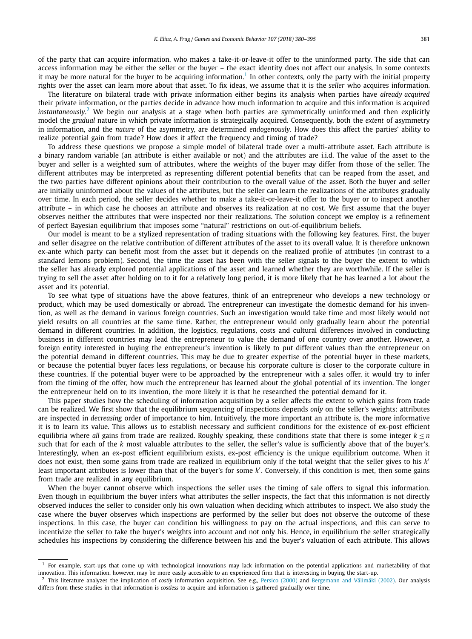of the party that can acquire information, who makes a take-it-or-leave-it offer to the uninformed party. The side that can access information may be either the seller or the buyer – the exact identity does not affect our analysis. In some contexts it may be more natural for the buyer to be acquiring information.<sup>1</sup> In other contexts, only the party with the initial property rights over the asset can learn more about that asset. To fix ideas, we assume that it is the *seller* who acquires information.

The literature on bilateral trade with private information either begins its analysis when parties have *already acquired* their private information, or the parties decide in advance how much information to acquire and this information is acquired *instantaneously*. <sup>2</sup> We begin our analysis at a stage when both parties are symmetrically uninformed and then explicitly model the *gradual* nature in which private information is strategically acquired. Consequently, both the *extent* of asymmetry in information, and the *nature* of the asymmetry, are determined *endogenously*. How does this affect the parties' ability to realize potential gain from trade? How does it affect the frequency and timing of trade?

To address these questions we propose a simple model of bilateral trade over a multi-attribute asset. Each attribute is a binary random variable (an attribute is either available or not) and the attributes are i.i.d. The value of the asset to the buyer and seller is a weighted sum of attributes, where the weights of the buyer may differ from those of the seller. The different attributes may be interpreted as representing different potential benefits that can be reaped from the asset, and the two parties have different opinions about their contribution to the overall value of the asset. Both the buyer and seller are initially uninformed about the values of the attributes, but the seller can learn the realizations of the attributes gradually over time. In each period, the seller decides whether to make a take-it-or-leave-it offer to the buyer or to inspect another attribute – in which case he chooses an attribute and observes its realization at no cost. We first assume that the buyer observes neither the attributes that were inspected nor their realizations. The solution concept we employ is a refinement of perfect Bayesian equilibrium that imposes some "natural" restrictions on out-of-equilibrium beliefs.

Our model is meant to be a stylized representation of trading situations with the following key features. First, the buyer and seller disagree on the relative contribution of different attributes of the asset to its overall value. It is therefore unknown ex-ante which party can benefit most from the asset but it depends on the realized profile of attributes (in contrast to a standard lemons problem). Second, the time the asset has been with the seller signals to the buyer the extent to which the seller has already explored potential applications of the asset and learned whether they are worthwhile. If the seller is trying to sell the asset after holding on to it for a relatively long period, it is more likely that he has learned a lot about the asset and its potential.

To see what type of situations have the above features, think of an entrepreneur who develops a new technology or product, which may be used domestically or abroad. The entrepreneur can investigate the domestic demand for his invention, as well as the demand in various foreign countries. Such an investigation would take time and most likely would not yield results on all countries at the same time. Rather, the entrepreneur would only gradually learn about the potential demand in different countries. In addition, the logistics, regulations, costs and cultural differences involved in conducting business in different countries may lead the entrepreneur to value the demand of one country over another. However, a foreign entity interested in buying the entrepreneur's invention is likely to put different values than the entrepreneur on the potential demand in different countries. This may be due to greater expertise of the potential buyer in these markets, or because the potential buyer faces less regulations, or because his corporate culture is closer to the corporate culture in these countries. If the potential buyer were to be approached by the entrepreneur with a sales offer, it would try to infer from the timing of the offer, how much the entrepreneur has learned about the global potential of its invention. The longer the entrepreneur held on to its invention, the more likely it is that he researched the potential demand for it.

This paper studies how the scheduling of information acquisition by a seller affects the extent to which gains from trade can be realized. We first show that the equilibrium sequencing of inspections depends *only* on the seller's weights: attributes are inspected in *decreasing* order of importance to him. Intuitively, the more important an attribute is, the more informative it is to learn its value. This allows us to establish necessary and sufficient conditions for the existence of ex-post efficient equilibria where *all* gains from trade are realized. Roughly speaking, these conditions state that there is some integer  $k \leq n$ such that for each of the *k* most valuable attributes to the seller, the seller's value is sufficiently above that of the buyer's. Interestingly, when an ex-post efficient equilibrium exists, ex-post efficiency is the unique equilibrium outcome. When it does not exist, then some gains from trade are realized in equilibrium only if the total weight that the seller gives to his *k* least important attributes is lower than that of the buyer's for some *k* . Conversely, if this condition is met, then some gains from trade are realized in any equilibrium.

When the buyer cannot observe which inspections the seller uses the timing of sale offers to signal this information. Even though in equilibrium the buyer infers what attributes the seller inspects, the fact that this information is not directly observed induces the seller to consider only his own valuation when deciding which attributes to inspect. We also study the case where the buyer observes which inspections are performed by the seller but does not observe the outcome of these inspections. In this case, the buyer can condition his willingness to pay on the actual inspections, and this can serve to incentivize the seller to take the buyer's weights into account and not only his. Hence, in equilibrium the seller strategically schedules his inspections by considering the difference between his and the buyer's valuation of each attribute. This allows

 $<sup>1</sup>$  For example, start-ups that come up with technological innovations may lack information on the potential applications and marketability of that</sup> innovation. This information, however, may be more easily accessible to an experienced firm that is interesting in buying the start-up.

<sup>2</sup> This literature analyzes the implication of *costly* information acquisition. See e.g., [Persico \(2000\)](#page-15-0) and Bergemann and [Välimäki \(2002\).](#page-15-0) Our analysis differs from these studies in that information is *costless* to acquire and information is gathered gradually over time.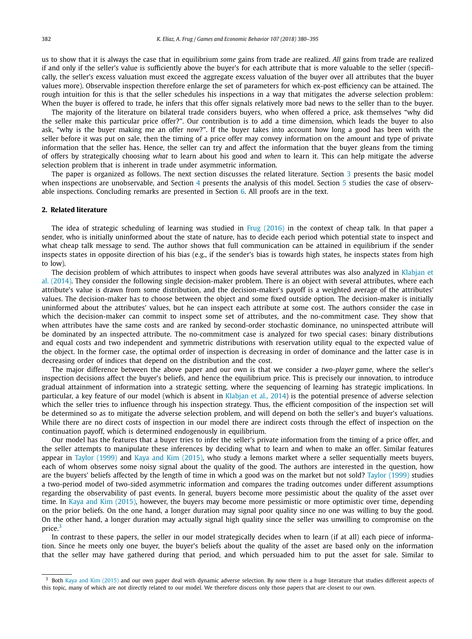us to show that it is always the case that in equilibrium *some* gains from trade are realized. *All* gains from trade are realized if and only if the seller's value is sufficiently above the buyer's for each attribute that is more valuable to the seller (specifically, the seller's excess valuation must exceed the aggregate excess valuation of the buyer over all attributes that the buyer values more). Observable inspection therefore enlarge the set of parameters for which ex-post efficiency can be attained. The rough intuition for this is that the seller schedules his inspections in a way that mitigates the adverse selection problem: When the buyer is offered to trade, he infers that this offer signals relatively more bad news to the seller than to the buyer.

The majority of the literature on bilateral trade considers buyers, who when offered a price, ask themselves "why did the seller make this particular price offer?". Our contribution is to add a time dimension, which leads the buyer to also ask, "why is the buyer making me an offer *now*?". If the buyer takes into account how long a good has been with the seller before it was put on sale, then the timing of a price offer may convey information on the amount and type of private information that the seller has. Hence, the seller can try and affect the information that the buyer gleans from the timing of offers by strategically choosing *what* to learn about his good and *when* to learn it. This can help mitigate the adverse selection problem that is inherent in trade under asymmetric information.

The paper is organized as follows. The next section discusses the related literature. Section [3](#page-3-0) presents the basic model when inspections are unobservable, and Section [4](#page-5-0) presents the analysis of this model. Section [5](#page-12-0) studies the case of observable inspections. Concluding remarks are presented in Section [6.](#page-14-0) All proofs are in the text.

# **2. Related literature**

The idea of strategic scheduling of learning was studied in [Frug \(2016\)](#page-15-0) in the context of cheap talk. In that paper a sender, who is initially uninformed about the state of nature, has to decide each period which potential state to inspect and what cheap talk message to send. The author shows that full communication can be attained in equilibrium if the sender inspects states in opposite direction of his bias (e.g., if the sender's bias is towards high states, he inspects states from high to low).

The decision problem of which attributes to inspect when goods have several attributes was also analyzed in [Klabjan](#page-15-0) et [al. \(2014\).](#page-15-0) They consider the following single decision-maker problem. There is an object with several attributes, where each attribute's value is drawn from some distribution, and the decision-maker's payoff is a weighted average of the attributes' values. The decision-maker has to choose between the object and some fixed outside option. The decision-maker is initially uninformed about the attributes' values, but he can inspect each attribute at some cost. The authors consider the case in which the decision-maker can commit to inspect some set of attributes, and the no-commitment case. They show that when attributes have the same costs and are ranked by second-order stochastic dominance, no uninspected attribute will be dominated by an inspected attribute. The no-commitment case is analyzed for two special cases: binary distributions and equal costs and two independent and symmetric distributions with reservation utility equal to the expected value of the object. In the former case, the optimal order of inspection is decreasing in order of dominance and the latter case is in decreasing order of indices that depend on the distribution and the cost.

The major difference between the above paper and our own is that we consider a *two-player game*, where the seller's inspection decisions affect the buyer's beliefs, and hence the equilibrium price. This is precisely our innovation, to introduce gradual attainment of information into a strategic setting, where the sequencing of learning has strategic implications. In particular, a key feature of our model (which is absent in [Klabjan](#page-15-0) et al., 2014) is the potential presence of adverse selection which the seller tries to influence through his inspection strategy. Thus, the efficient composition of the inspection set will be determined so as to mitigate the adverse selection problem, and will depend on both the seller's and buyer's valuations. While there are no direct costs of inspection in our model there are indirect costs through the effect of inspection on the continuation payoff, which is determined endogenously in equilibrium.

Our model has the features that a buyer tries to infer the seller's private information from the timing of a price offer, and the seller attempts to manipulate these inferences by deciding what to learn and when to make an offer. Similar features appear in [Taylor \(1999\)](#page-15-0) and Kaya and [Kim \(2015\),](#page-15-0) who study a lemons market where a seller sequentially meets buyers, each of whom observes some noisy signal about the quality of the good. The authors are interested in the question, how are the buyers' beliefs affected by the length of time in which a good was on the market but not sold? [Taylor \(1999\)](#page-15-0) studies a two-period model of two-sided asymmetric information and compares the trading outcomes under different assumptions regarding the observability of past events. In general, buyers become more pessimistic about the quality of the asset over time. In Kaya and [Kim \(2015\),](#page-15-0) however, the buyers may become more pessimistic or more optimistic over time, depending on the prior beliefs. On the one hand, a longer duration may signal poor quality since no one was willing to buy the good. On the other hand, a longer duration may actually signal high quality since the seller was unwilling to compromise on the price.<sup>3</sup>

In contrast to these papers, the seller in our model strategically decides when to learn (if at all) each piece of information. Since he meets only one buyer, the buyer's beliefs about the quality of the asset are based only on the information that the seller may have gathered during that period, and which persuaded him to put the asset for sale. Similar to

Both Kaya and [Kim \(2015\)](#page-15-0) and our own paper deal with dynamic adverse selection. By now there is a huge literature that studies different aspects of this topic, many of which are not directly related to our model. We therefore discuss only those papers that are closest to our own.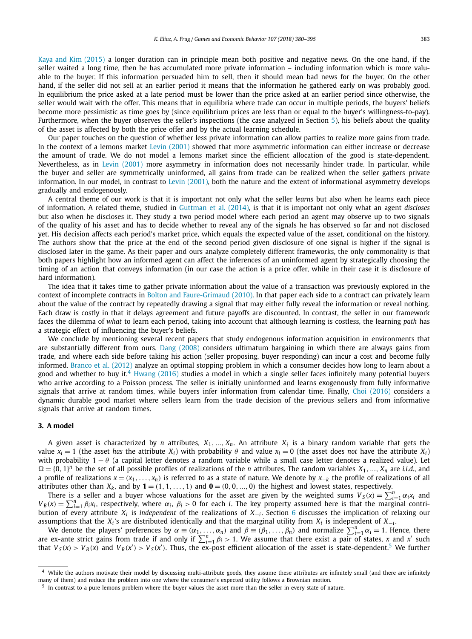<span id="page-3-0"></span>[Kaya and Kim \(2015\)](#page-15-0) a longer duration can in principle mean both positive and negative news. On the one hand, if the seller waited a long time, then he has accumulated more private information – including information which is more valuable to the buyer. If this information persuaded him to sell, then it should mean bad news for the buyer. On the other hand, if the seller did not sell at an earlier period it means that the information he gathered early on was probably good. In equilibrium the price asked at a late period must be lower than the price asked at an earlier period since otherwise, the seller would wait with the offer. This means that in equilibria where trade can occur in multiple periods, the buyers' beliefs become more pessimistic as time goes by (since equilibrium prices are less than or equal to the buyer's willingness-to-pay). Furthermore, when the buyer observes the seller's inspections (the case analyzed in Section [5\)](#page-12-0), his beliefs about the quality of the asset is affected by both the price offer and by the actual learning schedule.

Our paper touches on the question of whether less private information can allow parties to realize more gains from trade. In the context of a lemons market [Levin \(2001\)](#page-15-0) showed that more asymmetric information can either increase or decrease the amount of trade. We do not model a lemons market since the efficient allocation of the good is state-dependent. Nevertheless, as in [Levin \(2001\)](#page-15-0) more asymmetry in information does not necessarily hinder trade. In particular, while the buyer and seller are symmetrically uninformed, all gains from trade can be realized when the seller gathers private information. In our model, in contrast to [Levin \(2001\),](#page-15-0) both the nature and the extent of informational asymmetry develops gradually and endogenously.

A central theme of our work is that it is important not only what the seller *learns* but also when he learns each piece of information. A related theme, studied in Guttman et [al. \(2014\),](#page-15-0) is that it is important not only what an agent *discloses* but also when he discloses it. They study a two period model where each period an agent may observe up to two signals of the quality of his asset and has to decide whether to reveal any of the signals he has observed so far and not disclosed yet. His decision affects each period's market price, which equals the expected value of the asset, conditional on the history. The authors show that the price at the end of the second period given disclosure of one signal is higher if the signal is disclosed later in the game. As their paper and ours analyze completely different frameworks, the only commonality is that both papers highlight how an informed agent can affect the inferences of an uninformed agent by strategically choosing the timing of an action that conveys information (in our case the action is a price offer, while in their case it is disclosure of hard information).

The idea that it takes time to gather private information about the value of a transaction was previously explored in the context of incomplete contracts in Bolton and [Faure-Grimaud \(2010\).](#page-15-0) In that paper each side to a contract can privately learn about the value of the contract by repeatedly drawing a signal that may either fully reveal the information or reveal nothing. Each draw is costly in that it delays agreement and future payoffs are discounted. In contrast, the seller in our framework faces the dilemma of *what* to learn each period, taking into account that although learning is costless, the learning *path* has a strategic effect of influencing the buyer's beliefs.

We conclude by mentioning several recent papers that study endogenous information acquisition in environments that are substantially different from ours. Dang [\(2008\)](#page-15-0) considers ultimatum bargaining in which there are always gains from trade, and where each side before taking his action (seller proposing, buyer responding) can incur a cost and become fully informed. Branco et [al. \(2012\)](#page-15-0) analyze an optimal stopping problem in which a consumer decides how long to learn about a good and whether to buy it.<sup>4</sup> Hwang (2016) studies a model in which a single seller faces infinitely many potential buyers who arrive according to a Poisson process. The seller is initially uninformed and learns exogenously from fully informative signals that arrive at random times, while buyers infer information from calendar time. Finally, [Choi \(2016\)](#page-15-0) considers a dynamic durable good market where sellers learn from the trade decision of the previous sellers and from informative signals that arrive at random times.

# **3. A model**

A given asset is characterized by *n* attributes,  $X_1, ..., X_n$ . An attribute  $X_i$  is a binary random variable that gets the value  $x_i = 1$  (the asset *has* the attribute  $X_i$ ) with probability  $\theta$  and value  $x_i = 0$  (the asset does *not* have the attribute  $X_i$ ) with probability 1 − *θ* (a capital letter denotes a random variable while a small case letter denotes a realized value). Let  $\Omega = \{0, 1\}^n$  be the set of all possible profiles of realizations of the *n* attributes. The random variables  $X_1, ..., X_n$  are *i.i.d.*, and a profile of realizations *x* = *(x*1*,..., xn)* is referred to as a state of nature. We denote by *x*−*<sup>k</sup>* the profile of realizations of all attributes other than  $X_k$ , and by  $\mathbf{1} = (1, 1, \ldots, 1)$  and  $\mathbf{0} = (0, 0, \ldots, 0)$  the highest and lowest states, respectively.

There is a seller and a buyer whose valuations for the asset are given by the weighted sums  $V_S(x) = \sum_{i=1}^n \alpha_i x_i$  and  $V_B(x) = \sum_{i=1}^n \beta_i x_i$ , respectively, where  $\alpha_i$ ,  $\beta_i > 0$  for each *i*. The key property assumed here is that the marginal contribution of every attribute *Xi* is *independent* of the realizations of *X*−*i*. Section [6](#page-14-0) discusses the implication of relaxing our assumptions that the  $X_i$ 's are distributed identically and that the marginal utility from  $X_i$  is independent of  $X_{-i}$ .

We denote the players' preferences by  $\alpha \equiv (\alpha_1, \ldots, \alpha_n)$  and  $\beta \equiv (\beta_1, \ldots, \beta_n)$  and normalize  $\sum_{i=1}^n \alpha_i = 1$ . Hence, there are ex-ante strict gains from trade if and only if  $\sum_{i=1}^{n} \beta_i > 1$ . We assume that there exist a pair of states, *x* and *x'* such that  $V_S(x) > V_B(x)$  and  $V_B(x') > V_S(x')$ . Thus, the ex-post efficient allocation of the asset is state-dependent.<sup>5</sup> We further

<sup>4</sup> While the authors motivate their model by discussing multi-attribute goods, they assume these attributes are infinitely small (and there are infinitely many of them) and reduce the problem into one where the consumer's expected utility follows a Brownian motion.

<sup>5</sup> In contrast to a pure lemons problem where the buyer values the asset more than the seller in every state of nature.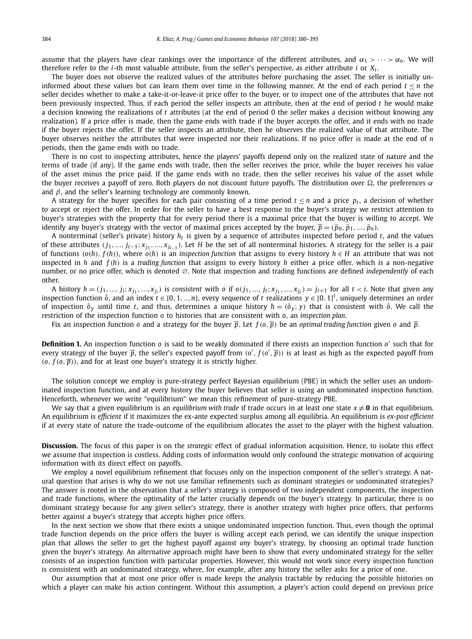assume that the players have clear rankings over the importance of the different attributes, and  $\alpha_1 > \cdots > \alpha_n$ . We will therefore refer to the *i*-th most valuable attribute, from the seller's perspective, as either attribute *i* or *Xi* .

The buyer does not observe the realized values of the attributes before purchasing the asset. The seller is initially uninformed about these values but can learn them over time in the following manner. At the end of each period *t* ≤ *n* the seller decides whether to make a take-it-or-leave-it price offer to the buyer, or to inspect one of the attributes that have not been previously inspected. Thus, if each period the seller inspects an attribute, then at the end of period *t* he would make a decision knowing the realizations of *t* attributes (at the end of period 0 the seller makes a decision without knowing any realization). If a price offer is made, then the game ends with trade if the buyer accepts the offer, and it ends with no trade if the buyer rejects the offer. If the seller inspects an attribute, then he observes the realized value of that attribute. The buyer observes neither the attributes that were inspected nor their realizations. If no price offer is made at the end of *n* periods, then the game ends with no trade.

There is no cost to inspecting attributes, hence the players' payoffs depend only on the realized state of nature and the terms of trade (if any). If the game ends with trade, then the seller receives the price, while the buyer receives his value of the asset minus the price paid. If the game ends with no trade, then the seller receives his value of the asset while the buyer receives a payoff of zero. Both players do not discount future payoffs. The distribution over  $\Omega$ , the preferences  $\alpha$ and *β*, and the seller's learning technology are commonly known.

A strategy for the buyer specifies for each pair consisting of a time period  $t \le n$  and a price  $p_t$ , a decision of whether to accept or reject the offer. In order for the seller to have a best response to the buyer's strategy we restrict attention to buyer's strategies with the property that for every period there is a maximal price that the buyer is willing to accept. We identify any buyer's strategy with the vector of maximal prices accepted by the buyer,  $\overline{p} = (\overline{p}_0, \overline{p}_1, ..., \overline{p}_n)$ .

A nonterminal (seller's private) history *ht* is given by a sequence of attributes inspected before period *t*, and the values of these attributes  $(j_1, ..., j_{t-1}; x_j, ..., x_{j-1})$ . Let *H* be the set of all nonterminal histories. A strategy for the seller is a pair of functions  $(o(h), f(h))$ , where  $o(h)$  is an inspection function that assigns to every history  $h \in H$  an attribute that was not inspected in *h* and *f (h)* is a *trading function* that assigns to every history *h* either a price offer, which is a non-negative number, or no price offer, which is denoted ∅. Note that inspection and trading functions are defined *independently* of each other.

A history  $h = (j_1, ..., j_i; x_{j_1}, ..., x_{j_i})$  is consistent with o if  $o(j_1, ..., j_t; x_{j_1}, ..., x_{j_t}) = j_{t+1}$  for all  $t < i$ . Note that given any inspection function  $\hat{o}$ , and an index  $t \in \{0, 1, ..., n\}$ , every sequence of t realizations  $y \in \{0, 1\}^t$ , uniquely determines an order of inspection  $\hat{\sigma}_v$  until time *t*, and thus, determines a unique history  $h = (\hat{\sigma}_v; y)$  that is consistent with  $\hat{\sigma}$ . We call the restriction of the inspection function *o* to histories that are consistent with *o*, an *inspection plan*.

Fix an inspection function *o* and a strategy for the buyer  $\bar{p}$ . Let  $f(\rho, \bar{p})$  be an *optimal trading function* given *o* and  $\bar{p}$ .

**Definition 1.** An inspection function *o* is said to be weakly dominated if there exists an inspection function *o'* such that for every strategy of the buyer  $\bar{p}$ , the seller's expected payoff from  $(o', f(o', \bar{p}))$  is at least as high as the expected payoff from  $(0, f(0, \overline{p}))$ , and for at least one buyer's strategy it is strictly higher.

The solution concept we employ is pure-strategy perfect Bayesian equilibrium (PBE) in which the seller uses an undominated inspection function, and at every history the buyer believes that seller is using an undominated inspection function. Henceforth, whenever we write "equilibrium" we mean this refinement of pure-strategy PBE.

We say that a given equilibrium is an *equilibrium* with *trade* if trade occurs in at least one state  $x \neq 0$  in that equilibrium. An equilibrium is *efficient* if it maximizes the ex-ante expected surplus among all equilibria. An equilibrium is *ex-post efficient* if at every state of nature the trade-outcome of the equilibrium allocates the asset to the player with the highest valuation.

**Discussion.** The focus of this paper is on the *strategic* effect of gradual information acquisition. Hence, to isolate this effect we assume that inspection is costless. Adding costs of information would only confound the strategic motivation of acquiring information with its direct effect on payoffs.

We employ a novel equilibrium refinement that focuses only on the inspection component of the seller's strategy. A natural question that arises is why do we not use familiar refinements such as dominant strategies or undominated strategies? The answer is rooted in the observation that a seller's strategy is composed of two independent components, the inspection and trade functions, where the optimality of the latter crucially depends on the buyer's strategy. In particular, there is no dominant strategy because for any given seller's strategy, there is another strategy with higher price offers, that performs better against a buyer's strategy that accepts higher price offers.

In the next section we show that there exists a unique undominated inspection function. Thus, even though the optimal trade function depends on the price offers the buyer is willing accept each period, we can identify the unique inspection plan that allows the seller to get the highest payoff against *any* buyer's strategy, by choosing an optimal trade function given the buyer's strategy. An alternative approach might have been to show that every undominated strategy for the seller consists of an inspection function with particular properties. However, this would not work since every inspection function is consistent with an undominated strategy, where, for example, after any history the seller asks for a price of one.

Our assumption that at most one price offer is made keeps the analysis tractable by reducing the possible histories on which a player can make his action contingent. Without this assumption, a player's action could depend on previous price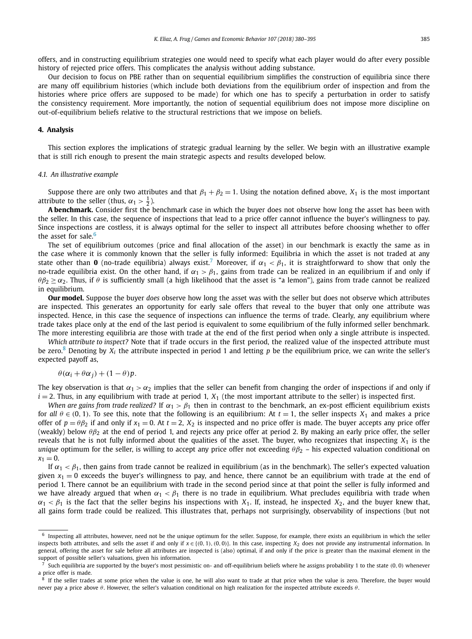<span id="page-5-0"></span>offers, and in constructing equilibrium strategies one would need to specify what each player would do after every possible history of rejected price offers. This complicates the analysis without adding substance.

Our decision to focus on PBE rather than on sequential equilibrium simplifies the construction of equilibria since there are many off equilibrium histories (which include both deviations from the equilibrium order of inspection and from the histories where price offers are supposed to be made) for which one has to specify a perturbation in order to satisfy the consistency requirement. More importantly, the notion of sequential equilibrium does not impose more discipline on out-of-equilibrium beliefs relative to the structural restrictions that we impose on beliefs.

# **4. Analysis**

This section explores the implications of strategic gradual learning by the seller. We begin with an illustrative example that is still rich enough to present the main strategic aspects and results developed below.

# *4.1. An illustrative example*

Suppose there are only two attributes and that  $\beta_1 + \beta_2 = 1$ . Using the notation defined above,  $X_1$  is the most important attribute to the seller (thus,  $\alpha_1 > \frac{1}{2}$ ).

**A benchmark.** Consider first the benchmark case in which the buyer does not observe how long the asset has been with the seller. In this case, the sequence of inspections that lead to a price offer cannot influence the buyer's willingness to pay. Since inspections are costless, it is always optimal for the seller to inspect all attributes before choosing whether to offer the asset for sale. $6$ 

The set of equilibrium outcomes (price and final allocation of the asset) in our benchmark is exactly the same as in the case where it is commonly known that the seller is fully informed: Equilibria in which the asset is not traded at any state other than **0** (no-trade equilibria) always exist.<sup>7</sup> Moreover, if  $\alpha_1 < \beta_1$ , it is straightforward to show that only the no-trade equilibria exist. On the other hand, if  $\alpha_1 > \beta_1$ , gains from trade can be realized in an equilibrium if and only if  $\theta\beta_2 \ge \alpha_2$ . Thus, if  $\theta$  is sufficiently small (a high likelihood that the asset is "a lemon"), gains from trade cannot be realized in equilibrium.

**Our model.** Suppose the buyer *does* observe how long the asset was with the seller but does not observe which attributes are inspected. This generates an opportunity for early sale offers that reveal to the buyer that only one attribute was inspected. Hence, in this case the sequence of inspections can influence the terms of trade. Clearly, any equilibrium where trade takes place only at the end of the last period is equivalent to some equilibrium of the fully informed seller benchmark. The more interesting equilibria are those with trade at the end of the first period when only a single attribute is inspected.

*Which attribute to inspect?* Note that if trade occurs in the first period, the realized value of the inspected attribute must be zero.<sup>8</sup> Denoting by  $X_i$  the attribute inspected in period 1 and letting p be the equilibrium price, we can write the seller's expected payoff as,

$$
\theta(\alpha_i + \theta \alpha_j) + (1 - \theta)p.
$$

The key observation is that  $\alpha_1 > \alpha_2$  implies that the seller can benefit from changing the order of inspections if and only if  $i = 2$ . Thus, in any equilibrium with trade at period 1,  $X_1$  (the most important attribute to the seller) is inspected first.

*When are gains from <i>trade realized?* If  $\alpha_1 > \beta_1$  then in contrast to the benchmark, an ex-post efficient equilibrium exists for all  $\theta \in (0, 1)$ . To see this, note that the following is an equilibrium: At  $t = 1$ , the seller inspects  $X_1$  and makes a price offer of  $p = \theta \beta_2$  if and only if  $x_1 = 0$ . At  $t = 2$ ,  $X_2$  is inspected and no price offer is made. The buyer accepts any price offer (weakly) below  $\theta\beta_2$  at the end of period 1, and rejects any price offer at period 2. By making an early price offer, the seller reveals that he is not fully informed about the qualities of the asset. The buyer, who recognizes that inspecting  $X_1$  is the *unique* optimum for the seller, is willing to accept any price offer not exceeding  $\theta \beta_2$  – his expected valuation conditional on  $x_1 = 0.$ 

If  $\alpha_1 < \beta_1$ , then gains from trade cannot be realized in equilibrium (as in the benchmark). The seller's expected valuation given  $x_1 = 0$  exceeds the buyer's willingness to pay, and hence, there cannot be an equilibrium with trade at the end of period 1. There cannot be an equilibrium with trade in the second period since at that point the seller is fully informed and we have already argued that when  $α_1 < β_1$  there is no trade in equilibrium. What precludes equilibria with trade when  $\alpha_1 < \beta_1$  is the fact that the seller begins his inspections with *X*<sub>1</sub>. If, instead, he inspected *X*<sub>2</sub>, and the buyer knew that, all gains form trade could be realized. This illustrates that, perhaps not surprisingly, observability of inspections (but not

 $6$  Inspecting all attributes, however, need not be the unique optimum for the seller. Suppose, for example, there exists an equilibrium in which the seller inspects both attributes, and sells the asset if and only if  $x \in \{(0, 1), (0, 0)\}$ . In this case, inspecting  $X_2$  does not provide any instrumental information. In general, offering the asset for sale before all attributes are inspected is (also) optimal, if and only if the price is greater than the maximal element in the support of possible seller's valuations, given his information.

<sup>7</sup> Such equilibria are supported by the buyer's most pessimistic on- and off-equilibrium beliefs where he assigns probability 1 to the state *(*0*,* 0*)* whenever a price offer is made.

<sup>&</sup>lt;sup>8</sup> If the seller trades at some price when the value is one, he will also want to trade at that price when the value is zero. Therefore, the buyer would never pay a price above *θ* . However, the seller's valuation conditional on high realization for the inspected attribute exceeds *θ* .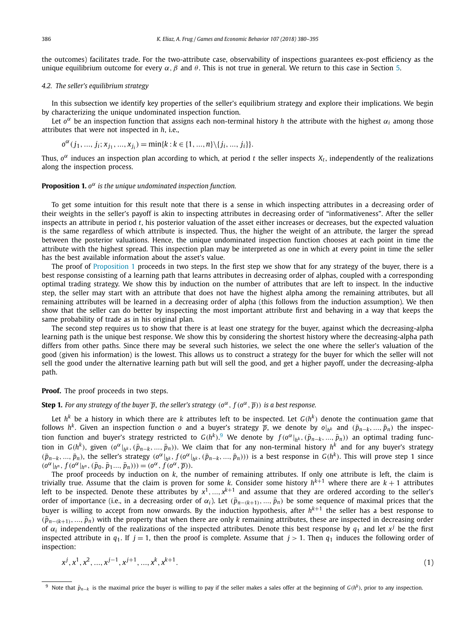<span id="page-6-0"></span>the outcomes) facilitates trade. For the two-attribute case, observability of inspections guarantees ex-post efficiency as the unique equilibrium outcome for every  $\alpha$ ,  $\beta$  and  $\theta$ . This is not true in general. We return to this case in Section [5.](#page-12-0)

# *4.2. The seller's equilibrium strategy*

In this subsection we identify key properties of the seller's equilibrium strategy and explore their implications. We begin by characterizing the unique undominated inspection function.

Let  $o^{\alpha}$  be an inspection function that assigns each non-terminal history *h* the attribute with the highest  $\alpha_i$  among those attributes that were not inspected in *h*, i.e.,

$$
o^{\alpha}(j_1, ..., j_i; x_{j_1}, ..., x_{j_i}) = \min\{k : k \in \{1, ..., n\} \setminus \{j_i, ..., j_i\}\}.
$$

Thus,  $o^{\alpha}$  induces an inspection plan according to which, at period t the seller inspects  $X_t$ , independently of the realizations along the inspection process.

# **Proposition 1.**  $o^{\alpha}$  *is the unique undominated inspection function.*

To get some intuition for this result note that there is a sense in which inspecting attributes in a decreasing order of their weights in the seller's payoff is akin to inspecting attributes in decreasing order of "informativeness". After the seller inspects an attribute in period *t*, his posterior valuation of the asset either increases or decreases, but the expected valuation is the same regardless of which attribute is inspected. Thus, the higher the weight of an attribute, the larger the spread between the posterior valuations. Hence, the unique undominated inspection function chooses at each point in time the attribute with the highest spread. This inspection plan may be interpreted as one in which at every point in time the seller has the best available information about the asset's value.

The proof of Proposition 1 proceeds in two steps. In the first step we show that for any strategy of the buyer, there is a best response consisting of a learning path that learns attributes in decreasing order of alphas, coupled with a corresponding optimal trading strategy. We show this by induction on the number of attributes that are left to inspect. In the inductive step, the seller may start with an attribute that does not have the highest alpha among the remaining attributes, but all remaining attributes will be learned in a decreasing order of alpha (this follows from the induction assumption). We then show that the seller can do better by inspecting the most important attribute first and behaving in a way that keeps the same probability of trade as in his original plan.

The second step requires us to show that there is at least one strategy for the buyer, against which the decreasing-alpha learning path is the unique best response. We show this by considering the shortest history where the decreasing-alpha path differs from other paths. Since there may be several such histories, we select the one where the seller's valuation of the good (given his information) is the lowest. This allows us to construct a strategy for the buyer for which the seller will not sell the good under the alternative learning path but will sell the good, and get a higher payoff, under the decreasing-alpha path.

# Proof. The proof proceeds in two steps.

# **Step 1.** For any strategy of the buyer  $\overline{p}$ , the seller's strategy  $(o^{\alpha}, f(o^{\alpha}, \overline{p}))$  is a best response.

Let  $h^k$  be a history in which there are *k* attributes left to be inspected. Let  $G(h^k)$  denote the continuation game that follows  $h^k$ . Given an inspection function  $o$  and a buyer's strategy  $\overline{p}$ , we denote by  $o|_{h^k}$  and  $(\bar{p}_{n-k},...,\bar{p}_n)$  the inspection function and buyer's strategy restricted to  $G(h^k)$ .<sup>9</sup> We denote by  $f(o^{\alpha}|_{h^k}, (\bar{p}_{n-k},..., \bar{p}_n))$  an optimal trading function in G(h<sup>k</sup>), given (o<sup> $\alpha|_{h^k}$ , ( $\bar{p}_{n-k},..., \bar{p}_n$ )). We claim that for any non-terminal history  $h^k$  and for any buyer's strategy</sup>  $(\bar{p}_{n-k},...,\bar{p}_n)$ , the seller's strategy  $(o^{\alpha}|_{h^k}, f(o^{\alpha}|_{h^k}, (\bar{p}_{n-k},...,\bar{p}_n)))$  is a best response in  $G(h^k)$ . This will prove step 1 since  $(o^{\alpha}|_{h^n}, f(o^{\alpha}|_{h^n}, (\bar{p}_0, \bar{p}_1, ..., \bar{p}_n))) = (o^{\alpha}, f(o^{\alpha}, \bar{p})).$ 

The proof proceeds by induction on *k*, the number of remaining attributes. If only one attribute is left, the claim is trivially true. Assume that the claim is proven for some *k*. Consider some history  $h^{k+1}$  where there are  $k+1$  attributes left to be inspected. Denote these attributes by  $x^1, ..., x^{k+1}$  and assume that they are ordered according to the seller's order of importance (i.e., in a decreasing order of  $\alpha_i$ ). Let  $(\bar{p}_{n-(k+1)},...,\bar{p}_n)$  be some sequence of maximal prices that the buyer is willing to accept from now onwards. By the induction hypothesis, after *hk*+<sup>1</sup> the seller has a best response to  $(\bar{p}_{n-(k+1)},...,\bar{p}_n)$  with the property that when there are only *k* remaining attributes, these are inspected in decreasing order of  $\alpha_i$  independently of the realizations of the inspected attributes. Denote this best response by  $q_1$  and let  $x^j$  be the first inspected attribute in  $q_1$ . If  $j = 1$ , then the proof is complete. Assume that  $j > 1$ . Then  $q_1$  induces the following order of inspection:

$$
x^{j}, x^{1}, x^{2}, \dots, x^{j-1}, x^{j+1}, \dots, x^{k}, x^{k+1}.
$$
\n<sup>(1)</sup>

<sup>&</sup>lt;sup>9</sup> Note that  $\bar{p}_{n-k}$  is the maximal price the buyer is willing to pay if the seller makes a sales offer at the beginning of  $G(h^k)$ , prior to any inspection.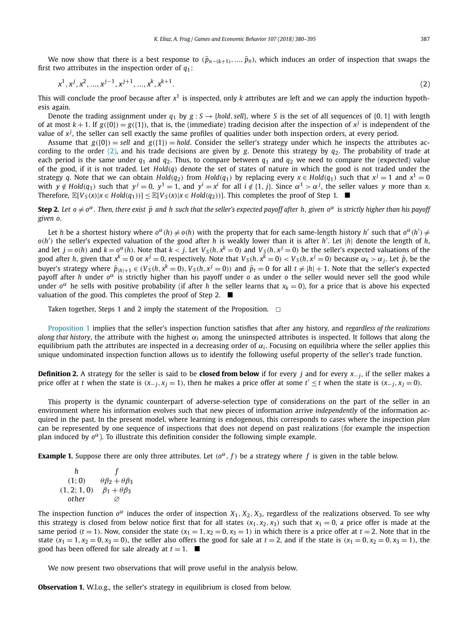We now show that there is a best response to  $(\bar{p}_{n-(k+1)},...,\bar{p}_n)$ , which induces an order of inspection that swaps the first two attributes in the inspection order of  $q_1$ :

$$
x^1, x^j, x^2, \dots, x^{j-1}, x^{j+1}, \dots, x^k, x^{k+1}.
$$
\n<sup>(2)</sup>

This will conclude the proof because after  $x^1$  is inspected, only k attributes are left and we can apply the induction hypothesis again.

Denote the trading assignment under  $q_1$  by  $g : S \rightarrow \{hold, sell\}$ , where *S* is the set of all sequences of  $\{0, 1\}$  with length of at most  $k + 1$ . If  $g(\{0\}) = g(\{1\})$ , that is, the (immediate) trading decision after the inspection of  $x^j$  is independent of the value of  $x^j$ , the seller can sell exactly the same profiles of qualities under both inspection orders, at every period.

Assume that  $g(\{0\}) = \text{sell}$  and  $g(\{1\}) = \text{hold}$ . Consider the seller's strategy under which he inspects the attributes according to the order (2), and his trade decisions are given by *g*. Denote this strategy by *q*2. The probability of trade at each period is the same under  $q_1$  and  $q_2$ . Thus, to compare between  $q_1$  and  $q_2$  we need to compare the (expected) value of the good, if it is not traded. Let *Hold(q)* denote the set of states of nature in which the good is not traded under the strategy a. Note that we can obtain  $Hold(a_2)$  from  $Hold(a_1)$  by replacing every  $x \in Hold(a_1)$  such that  $x^j = 1$  and  $x^1 = 0$ with  $y \notin Hold(q_1)$  such that  $y^j = 0$ ,  $y^1 = 1$ , and  $y^i = x^i$  for all  $i \notin \{1, j\}$ . Since  $\alpha^1 > \alpha^j$ , the seller values  $y$  more than x. Therefore,  $\mathbb{E}[V_S(x)|x \in Hold(q_1))] \leq \mathbb{E}[V_S(x)|x \in Hold(q_2))]$ . This completes the proof of Step 1.

**Step 2.** Let  $o \neq o^{\alpha}$ . Then, there exist  $\bar{p}$  and h such that the seller's expected payoff after h, given  $o^{\alpha}$  is strictly higher than his payoff *given o*.

Let *h* be a shortest history where  $o^{\alpha}(h) \neq o(h)$  with the property that for each same-length history *h'* such that  $o^{\alpha}(h') \neq o(h')$  $o(h')$  the seller's expected valuation of the good after *h* is weakly lower than it is after  $h'$ . Let |*h*| denote the length of *h*, and let  $j = o(h)$  and  $k = o^{\alpha}(h)$ . Note that  $k < j$ . Let  $V_s(h, x^k = 0)$  and  $V_s(h, x^j = 0)$  be the seller's expected valuations of the good after h, given that  $x^k = 0$  or  $x^j = 0$ , respectively. Note that  $V_S(h, x^k = 0) < V_S(h, x^j = 0)$  because  $\alpha_k > \alpha_j$ . Let  $\bar{p}$ , be the buyer's strategy where  $\bar{p}_{\vert h \vert+1} \in (V_S(h, x^k = 0), V_S(h, x^j = 0))$  and  $\bar{p}_t = 0$  for all  $t \neq |h| + 1$ . Note that the seller's expected payoff after *h* under *o<sup>α</sup>* is strictly higher than his payoff under *o* as under *o* the seller would never sell the good while under  $o^{\alpha}$  he sells with positive probability (if after *h* the seller learns that  $x_k = 0$ ), for a price that is above his expected valuation of the good. This completes the proof of Step 2.  $\quadblacksquare$ 

Taken together, Steps 1 and 2 imply the statement of the Proposition.  $\Box$ 

[Proposition 1](#page-6-0) implies that the seller's inspection function satisfies that after any history, and *regardless of the realizations along that history*, the attribute with the highest *α<sup>i</sup>* among the uninspected attributes is inspected. It follows that along the equilibrium path the attributes are inspected in a decreasing order of  $\alpha_i$ . Focusing on equilibria where the seller applies this unique undominated inspection function allows us to identify the following useful property of the seller's trade function.

**Definition 2.** A strategy for the seller is said to be **closed from below** if for every *j* and for every  $x_{-i}$ , if the seller makes a price offer at t when the state is  $(x_{-i}, x_i = 1)$ , then he makes a price offer at some  $t' \le t$  when the state is  $(x_{-i}, x_i = 0)$ .

This property is the dynamic counterpart of adverse-selection type of considerations on the part of the seller in an environment where his information evolves such that new pieces of information arrive *independently* of the information acquired in the past. In the present model, where learning is endogenous, this corresponds to cases where the inspection *plan* can be represented by one sequence of inspections that does not depend on past realizations (for example the inspection plan induced by  $o^{\alpha}$ ). To illustrate this definition consider the following simple example.

**Example 1.** Suppose there are only three attributes. Let  $(o^{\alpha}, f)$  be a strategy where f is given in the table below.

| h            | T                             |
|--------------|-------------------------------|
| (1; 0)       | $\theta\beta_2+\theta\beta_3$ |
| (1, 2; 1, 0) | $\beta_1 + \theta \beta_3$    |
| other        | Ø                             |

The inspection function  $o^{\alpha}$  induces the order of inspection  $X_1, X_2, X_3$ , regardless of the realizations observed. To see why this strategy is closed from below notice first that for all states  $(x_1, x_2, x_3)$  such that  $x_1 = 0$ , a price offer is made at the same period  $(t = 1)$ . Now, consider the state  $(x_1 = 1, x_2 = 0, x_3 = 1)$  in which there is a price offer at  $t = 2$ . Note that in the state  $(x_1 = 1, x_2 = 0, x_3 = 0)$ , the seller also offers the good for sale at  $t = 2$ , and if the state is  $(x_1 = 0, x_2 = 0, x_3 = 1)$ , the good has been offered for sale already at  $t = 1$ .

We now present two observations that will prove useful in the analysis below.

**Observation 1.** W.l.o.g., the seller's strategy in equilibrium is closed from below.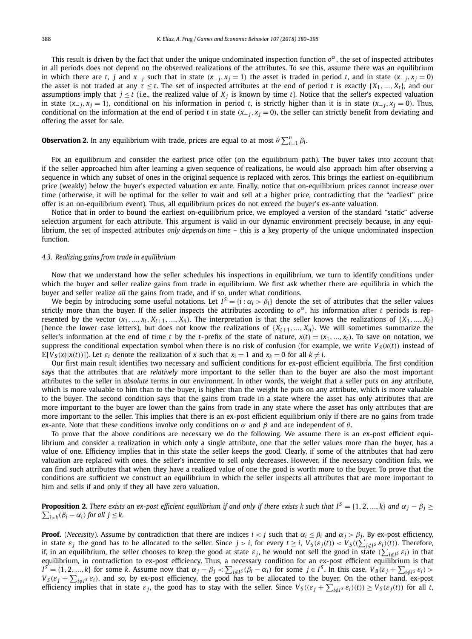<span id="page-8-0"></span>This result is driven by the fact that under the unique undominated inspection function  $o<sup>\alpha</sup>$ , the set of inspected attributes in all periods does not depend on the observed realizations of the attributes. To see this, assume there was an equilibrium in which there are t, j and  $x_{-j}$  such that in state  $(x_{-j}, x_j = 1)$  the asset is traded in period t, and in state  $(x_{-j}, x_j = 0)$ the asset is not traded at any *τ* < *t*. The set of inspected attributes at the end of period *t* is exactly {*X*<sub>1</sub>, ..., *X*<sub>t</sub>}, and our assumptions imply that  $j \le t$  (i.e., the realized value of  $X_j$  is known by time  $t$ ). Notice that the seller's expected valuation in state  $(x_{-i}, x_i = 1)$ , conditional on his information in period t, is strictly higher than it is in state  $(x_{-i}, x_i = 0)$ . Thus, conditional on the information at the end of period *t* in state  $(x_{-i}, x_i = 0)$ , the seller can strictly benefit from deviating and offering the asset for sale.

# **Observation 2.** In any equilibrium with trade, prices are equal to at most  $\theta \sum_{i=1}^{n} \beta_i$ .

Fix an equilibrium and consider the earliest price offer (on the equilibrium path). The buyer takes into account that if the seller approached him after learning a given sequence of realizations, he would also approach him after observing a sequence in which any subset of ones in the original sequence is replaced with zeros. This brings the earliest on-equilibrium price (weakly) below the buyer's expected valuation ex ante. Finally, notice that on-equilibrium prices cannot increase over time (otherwise, it will be optimal for the seller to wait and sell at a higher price, contradicting that the "earliest" price offer is an on-equilibrium event). Thus, all equilibrium prices do not exceed the buyer's ex-ante valuation.

Notice that in order to bound the earliest on-equilibrium price, we employed a version of the standard "static" adverse selection argument for each attribute. This argument is valid in our dynamic environment precisely because, in any equilibrium, the set of inspected attributes *only depends on time* – this is a key property of the unique undominated inspection function.

# *4.3. Realizing gains from trade in equilibrium*

Now that we understand how the seller schedules his inspections in equilibrium, we turn to identify conditions under which the buyer and seller realize gains from trade in equilibrium. We first ask whether there are equilibria in which the buyer and seller realize *all* the gains from trade, and if so, under what conditions.

We begin by introducing some useful notations. Let  $I^S = \{i : \alpha_i > \beta_i\}$  denote the set of attributes that the seller values strictly more than the buyer. If the seller inspects the attributes according to  $o^{\alpha}$ , his information after *t* periods is represented by the vector  $(x_1, ..., x_t, X_{t+1}, ..., X_n)$ . The interpretation is that the seller knows the realizations of  $\{X_1, ..., X_t\}$ (hence the lower case letters), but does not know the realizations of  $\{X_{t+1},...,X_n\}$ . We will sometimes summarize the seller's information at the end of time *t* by the *t*-prefix of the state of nature,  $x(t) = (x_1, ..., x_t)$ . To save on notation, we suppress the conditional expectation symbol when there is no risk of confusion (for example, we write  $V_S(x(t))$  instead of  $\mathbb{E}[V_S(x)|x(t))]$ ). Let  $\varepsilon_i$  denote the realization of x such that  $x_i = 1$  and  $x_k = 0$  for all  $k \neq i$ .

Our first main result identifies two necessary and sufficient conditions for ex-post efficient equilibria. The first condition says that the attributes that are *relatively* more important to the seller than to the buyer are also the most important attributes to the seller in *absolute* terms in our environment. In other words, the weight that a seller puts on any attribute, which is more valuable to him than to the buyer, is higher than the weight he puts on any attribute, which is more valuable to the buyer. The second condition says that the gains from trade in a state where the asset has only attributes that are more important to the buyer are lower than the gains from trade in any state where the asset has only attributes that are more important to the seller. This implies that there is an ex-post efficient equilibrium only if there are no gains from trade ex-ante. Note that these conditions involve only conditions on *α* and *β* and are independent of *θ* .

To prove that the above conditions are necessary we do the following. We assume there is an ex-post efficient equilibrium and consider a realization in which only a single attribute, one that the seller values more than the buyer, has a value of one. Efficiency implies that in this state the seller keeps the good. Clearly, if some of the attributes that had zero valuation are replaced with ones, the seller's incentive to sell only decreases. However, if the necessary condition fails, we can find such attributes that when they have a realized value of one the good is worth more to the buyer. To prove that the conditions are sufficient we construct an equilibrium in which the seller inspects all attributes that are more important to him and sells if and only if they all have zero valuation.

**Proposition 2.** There exists an ex-post efficient equilibrium if and only if there exists k such that  $I^S=\{1,2,...,k\}$  and  $\alpha_j-\beta_j\geq 0$  $\sum_{i > k} (\beta_i - \alpha_i)$  for all  $j \leq k$ .

**Proof.** (*Necessity*). Assume by contradiction that there are indices  $i < j$  such that  $\alpha_i \leq \beta_i$  and  $\alpha_j > \beta_j$ . By ex-post efficiency, in state  $\varepsilon_j$  the good has to be allocated to the seller. Since  $j > i$ , for every  $t \ge i$ ,  $V_S(\varepsilon_j(t)) < V_S((\sum_{i \notin I^S} \varepsilon_i)(t))$ . Therefore, if, in an equilibrium, the seller chooses to keep the good at state  $\varepsilon_j$ , he would not sell the good in state  $(\sum_{i\notin I^S} \varepsilon_i)$  in that equilibrium, in contradiction to ex-post efficiency. Thus, a necessary condition for an ex-post efficient equilibrium is that  $I^S=\{1,2,...,k\}$  for some k. Assume now that  $\alpha_j-\beta_j<\sum_{i\notin I^S}(\beta_i-\alpha_i)$  for some  $j\in I^S$ . In this case,  $V_B(\varepsilon_j+\sum_{i\notin I^S}\varepsilon_i)>0$  $V_S(\varepsilon_j + \sum_{i \notin I^S} \varepsilon_i)$ , and so, by ex-post efficiency, the good has to be allocated to the buyer. On the other hand, ex-post efficiency implies that in state  $\varepsilon_j$ , the good has to stay with the seller. Since  $V_S((\varepsilon_j + \sum_{i \notin I^S} \varepsilon_i)(t)) \geq V_S(\varepsilon_j(t))$  for all t,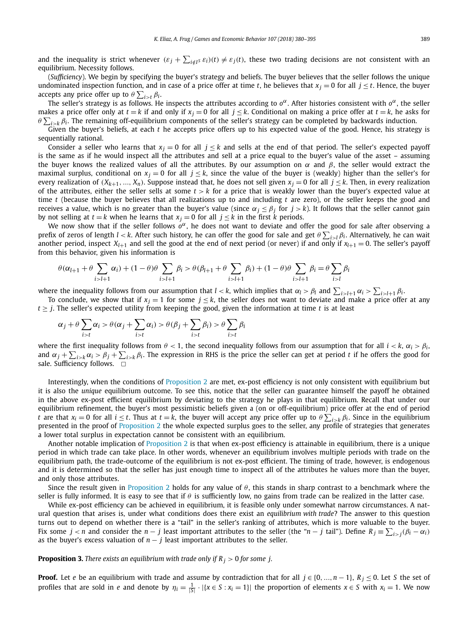<span id="page-9-0"></span>and the inequality is strict whenever  $(\varepsilon_j + \sum_{i \notin I^S} \varepsilon_i)(t) \neq \varepsilon_j(t)$ , these two trading decisions are not consistent with an equilibrium. Necessity follows.

(*Sufficiency*). We begin by specifying the buyer's strategy and beliefs. The buyer believes that the seller follows the unique undominated inspection function, and in case of a price offer at time *t*, he believes that  $x_i = 0$  for all  $j \le t$ . Hence, the buyer accepts any price offer up to  $\theta \sum_{i > t} \beta_i$ .

The seller's strategy is as follows. He inspects the attributes according to  $o^{\alpha}$ . After histories consistent with  $o^{\alpha}$ , the seller makes a price offer only at  $t = k$  if and only if  $x_i = 0$  for all  $j \leq k$ . Conditional on making a price offer at  $t = k$ , he asks for *θ* - *<sup>i</sup>><sup>k</sup> β<sup>i</sup>* . The remaining off-equilibrium components of the seller's strategy can be completed by backwards induction.

Given the buyer's beliefs, at each *t* he accepts price offers up to his expected value of the good. Hence, his strategy is sequentially rational.

Consider a seller who learns that  $x_j = 0$  for all  $j \leq k$  and sells at the end of that period. The seller's expected payoff is the same as if he would inspect all the attributes and sell at a price equal to the buyer's value of the asset – assuming the buyer knows the realized values of all the attributes. By our assumption on *α* and *β*, the seller would extract the maximal surplus, conditional on  $x_j = 0$  for all  $j \leq k$ , since the value of the buyer is (weakly) higher than the seller's for every realization of  $(X_{k+1},...,X_n)$ . Suppose instead that, he does not sell given  $x_j = 0$  for all  $j \leq k$ . Then, in every realization of the attributes, either the seller sells at some *t > k* for a price that is weakly lower than the buyer's expected value at time *t* (because the buyer believes that all realizations up to and including *t* are zero), or the seller keeps the good and receives a value, which is no greater than the buyer's value (since  $\alpha_j \leq \beta_j$  for  $j > k$ ). It follows that the seller cannot gain by not selling at  $t = k$  when he learns that  $x<sub>i</sub> = 0$  for all  $j \leq k$  in the first *k* periods.

We now show that if the seller follows  $o^{\alpha}$ , he does not want to deviate and offer the good for sale after observing a prefix of zeros of length *l < k*. After such history, he can offer the good for sale and get *θ* - *<sup>i</sup>><sup>l</sup> β<sup>i</sup>* . Alternatively, he can wait another period, inspect  $X_{l+1}$  and sell the good at the end of next period (or never) if and only if  $x_{l+1} = 0$ . The seller's payoff from this behavior, given his information is

$$
\theta(\alpha_{l+1} + \theta \sum_{i>l+1} \alpha_i) + (1-\theta)\theta \sum_{i>l+1} \beta_i > \theta(\beta_{l+1} + \theta \sum_{i>l+1} \beta_i) + (1-\theta)\theta \sum_{i>l+1} \beta_i = \theta \sum_{i>l} \beta_i
$$

where the inequality follows from our assumption that  $l < k$ , which implies that  $\alpha_l > \beta_l$  and  $\sum_{i>l+1} \alpha_i > \sum_{i>l+1} \beta_i$ .

To conclude, we show that if  $x_j = 1$  for some  $j \leq k$ , the seller does not want to deviate and make a price offer at any  $t > j$ . The seller's expected utility from keeping the good, given the information at time *t* is at least

$$
\alpha_j + \theta \sum_{i>t} \alpha_i > \theta(\alpha_j + \sum_{i>t} \alpha_i) > \theta(\beta_j + \sum_{i>t} \beta_i) > \theta \sum_{i>t} \beta_i
$$

where the first inequality follows from  $\theta$  < 1, the second inequality follows from our assumption that for all  $i < k$ ,  $\alpha_i > \beta_i$ , and  $\alpha_j+\sum_{i>k}\alpha_i>\beta_j+\sum_{i>k}\beta_i$ . The expression in RHS is the price the seller can get at period t if he offers the good for sale. Sufficiency follows.  $\Box$ 

Interestingly, when the conditions of [Proposition 2](#page-8-0) are met, ex-post efficiency is not only consistent with equilibrium but it is also the *unique* equilibrium outcome. To see this, notice that the seller can guarantee himself the payoff he obtained in the above ex-post efficient equilibrium by deviating to the strategy he plays in that equilibrium. Recall that under our equilibrium refinement, the buyer's most pessimistic beliefs given a (on or off-equilibrium) price offer at the end of period *t* are that  $x_i = 0$  for all  $i \le t$ . Thus at  $t = k$ , the buyer will accept any price offer up to  $\theta \sum_{i > k} \beta_i$ . Since in the equilibrium presented in the proof of [Proposition 2](#page-8-0) the whole expected surplus goes to the seller, any profile of strategies that generates a lower total surplus in expectation cannot be consistent with an equilibrium.

Another notable implication of [Proposition 2](#page-8-0) is that when ex-post efficiency is attainable in equilibrium, there is a unique period in which trade can take place. In other words, whenever an equilibrium involves multiple periods with trade on the equilibrium path, the trade-outcome of the equilibrium is not ex-post efficient. The timing of trade, however, is endogenous and it is determined so that the seller has just enough time to inspect all of the attributes he values more than the buyer, and only those attributes.

Since the result given in [Proposition 2](#page-8-0) holds for any value of  $\theta$ , this stands in sharp contrast to a benchmark where the seller is fully informed. It is easy to see that if *θ* is sufficiently low, no gains from trade can be realized in the latter case.

While ex-post efficiency can be achieved in equilibrium, it is feasible only under somewhat narrow circumstances. A natural question that arises is, under what conditions does there exist an *equilibrium with trade*? The answer to this question turns out to depend on whether there is a "tail" in the seller's ranking of attributes, which is more valuable to the buyer. Fix some  $j < n$  and consider the  $n-j$  least important attributes to the seller (the " $n-j$  tail"). Define  $R_j \equiv \sum_{i>j}(\beta_i - \alpha_i)$ as the buyer's excess valuation of  $n - j$  least important attributes to the seller.

# **Proposition 3.** There exists an equilibrium with trade only if  $R_i > 0$  for some *j*.

**Proof.** Let *e* be an equilibrium with trade and assume by contradiction that for all  $j \in \{0, ..., n-1\}$ ,  $R_j \le 0$ . Let *S* the set of profiles that are sold in *e* and denote by  $\eta_i = \frac{1}{|S|} \cdot |\{x \in S : x_i = 1\}|$  the proportion of elements  $x \in S$  with  $x_i = 1$ . We now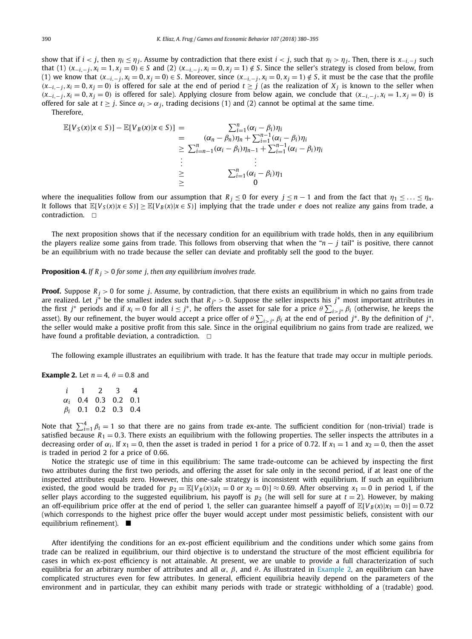<span id="page-10-0"></span>show that if  $i < j$ , then  $\eta_i \leq \eta_j$ . Assume by contradiction that there exist  $i < j$ , such that  $\eta_i > \eta_j$ . Then, there is  $x_{-i,-j}$  such that (1)  $(x_{-i,-j}, x_i = 1, x_j = 0) \in S$  and (2)  $(x_{-i,-j}, x_i = 0, x_j = 1) \notin S$ . Since the seller's strategy is closed from below, from (1) we know that  $(x_{-i,-j}, x_i = 0, x_j = 0) \in S$ . Moreover, since  $(x_{-i,-j}, x_i = 0, x_j = 1) \notin S$ , it must be the case that the profile  $(x_{-i,-j}, x_i = 0, x_j = 0)$  is offered for sale at the end of period  $t \ge j$  (as the realization of  $X_j$  is known to the seller when  $(x_{-i,-j}, x_i = 0, x_j = 0)$  is offered for sale). Applying closure from below again, we conclude that  $(x_{-i,-j}, x_i = 1, x_j = 0)$  is offered for sale at  $t \ge j$ . Since  $\alpha_i > \alpha_j$ , trading decisions (1) and (2) cannot be optimal at the same time. Therefore,

$$
\mathbb{E}[V_S(\mathbf{x})|\mathbf{x} \in S)] - \mathbb{E}[V_B(\mathbf{x})|\mathbf{x} \in S] = \n\begin{aligned}\n&\sum_{i=1}^n (\alpha_i - \beta_i)\eta_i \\
&= \n\alpha_n - \beta_n \eta_n + \sum_{i=1}^{n-1} (\alpha_i - \beta_i)\eta_i \\
&\ge \sum_{i=n-1}^n (\alpha_i - \beta_i)\eta_{n-1} + \sum_{i=1}^{n-1} (\alpha_i - \beta_i)\eta_i \\
&\ge \n\end{aligned}
$$
\n
$$
\sum_{i=1}^n (\alpha_i - \beta_i)\eta_1
$$
\n
$$
\ge \n\begin{aligned}\n&\sum_{i=1}^n (\alpha_i - \beta_i)\eta_1 \\
&\ge 0\n\end{aligned}
$$

where the inequalities follow from our assumption that  $R_j \le 0$  for every  $j \le n - 1$  and from the fact that  $\eta_1 \le \ldots \le \eta_n$ . It follows that  $\mathbb{E}[V_S(x)|x \in S] \ge \mathbb{E}[V_B(x)|x \in S]$  implying that the trade under e does not realize any gains from trade, a contradiction.  $\Box$ 

The next proposition shows that if the necessary condition for an equilibrium with trade holds, then in any equilibrium the players realize some gains from trade. This follows from observing that when the "*n* − *j* tail" is positive, there cannot be an equilibrium with no trade because the seller can deviate and profitably sell the good to the buyer.

# **Proposition 4.** *If*  $R_i > 0$  *for some j, then any equilibrium involves trade.*

**Proof.** Suppose  $R_i > 0$  for some *j*. Assume, by contradiction, that there exists an equilibrium in which no gains from trade are realized. Let *j* <sup>∗</sup> be the smallest index such that *<sup>R</sup> <sup>j</sup>*<sup>∗</sup> *>* 0. Suppose the seller inspects his *<sup>j</sup>* <sup>∗</sup> most important attributes in the first *j*<sup>\*</sup> periods and if  $x_i = 0$  for all  $i \le j^*$ , he offers the asset for sale for a price  $\theta \sum_{i > j^*} \beta_i$  (otherwise, he keeps the asset). By our refinement, the buyer would accept a price offer of  $\theta \sum_{i>j^*} \beta_i$  at the end of period *j*\*. By the definition of *j*\*. the seller would make a positive profit from this sale. Since in the original equilibrium no gains from trade are realized, we have found a profitable deviation, a contradiction.  $\Box$ 

The following example illustrates an equilibrium with trade. It has the feature that trade may occur in multiple periods.

**Example 2.** Let  $n = 4$ ,  $\theta = 0.8$  and

| <i>i</i> 1 2 3 4           |  |  |
|----------------------------|--|--|
| $\alpha_i$ 0.4 0.3 0.2 0.1 |  |  |
| $\beta_i$ 0.1 0.2 0.3 0.4  |  |  |

Note that  $\sum_{i=1}^4 \beta_i = 1$  so that there are no gains from trade ex-ante. The sufficient condition for (non-trivial) trade is satisfied because  $R_1 = 0.3$ . There exists an equilibrium with the following properties. The seller inspects the attributes in a decreasing order of  $\alpha_i$ . If  $x_1 = 0$ , then the asset is traded in period 1 for a price of 0.72. If  $x_1 = 1$  and  $x_2 = 0$ , then the asset is traded in period 2 for a price of 0*.*66.

Notice the strategic use of time in this equilibrium: The same trade-outcome can be achieved by inspecting the first two attributes during the first two periods, and offering the asset for sale only in the second period, if at least one of the inspected attributes equals zero. However, this one-sale strategy is inconsistent with equilibrium. If such an equilibrium existed, the good would be traded for  $p_2 = \mathbb{E}[V_B(x)|x_1 = 0 \text{ or } x_2 = 0] \approx 0.69$ . After observing  $x_1 = 0$  in period 1, if the seller plays according to the suggested equilibrium, his payoff is  $p_2$  (he will sell for sure at  $t = 2$ ). However, by making an off-equilibrium price offer at the end of period 1, the seller can guarantee himself a payoff of  $\mathbb{E}[V_B(x)|x_1 = 0] = 0.72$ (which corresponds to the highest price offer the buyer would accept under most pessimistic beliefs, consistent with our equilibrium refinement).  $\quadblacksquare$ 

After identifying the conditions for an ex-post efficient equilibrium and the conditions under which some gains from trade can be realized in equilibrium, our third objective is to understand the structure of the most efficient equilibria for cases in which ex-post efficiency is not attainable. At present, we are unable to provide a full characterization of such equilibria for an arbitrary number of attributes and all *α*, *β*, and *θ* . As illustrated in Example 2, an equilibrium can have complicated structures even for few attributes. In general, efficient equilibria heavily depend on the parameters of the environment and in particular, they can exhibit many periods with trade or strategic withholding of a (tradable) good.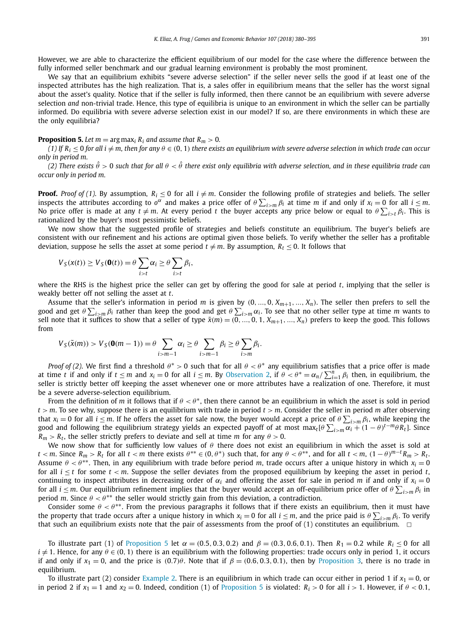However, we are able to characterize the efficient equilibrium of our model for the case where the difference between the fully informed seller benchmark and our gradual learning environment is probably the most prominent.

We say that an equilibrium exhibits "severe adverse selection" if the seller never sells the good if at least one of the inspected attributes has the high realization. That is, a sales offer in equilibrium means that the seller has the worst signal about the asset's quality. Notice that if the seller is fully informed, then there cannot be an equilibrium with severe adverse selection *and* non-trivial trade. Hence, this type of equilibria is unique to an environment in which the seller can be partially informed. Do equilibria with severe adverse selection exist in our model? If so, are there environments in which these are the only equilibria?

# **Proposition 5.** *Let*  $m = \arg \max_i R_i$  *and assume that*  $R_m > 0$ *.*

(1) If  $R_i$  < 0 for all  $i \neq m$ , then for any  $\theta \in (0, 1)$  there exists an equilibrium with severe adverse selection in which trade can occur *only in period m.*

(2) There exists  $\hat{\theta} > 0$  such that for all  $\theta < \hat{\theta}$  there exist only equilibria with adverse selection, and in these equilibria trade can *occur only in period m.*

**Proof.** *Proof* of (1). By assumption,  $R_i \le 0$  for all  $i \ne m$ . Consider the following profile of strategies and beliefs. The seller inspects the attributes according to  $o^{\alpha}$  and makes a price offer of  $\theta \sum_{i>m} \beta_i$  at time *m* if and only if  $x_i = 0$  for all  $i \leq m$ . No price offer is made at any  $t \neq m$ . At every period  $t$  the buyer accepts any price below or equal to  $\theta \sum_{i>t} \beta_i$ . This is rationalized by the buyer's most pessimistic beliefs.

We now show that the suggested profile of strategies and beliefs constitute an equilibrium. The buyer's beliefs are consistent with our refinement and his actions are optimal given those beliefs. To verify whether the seller has a profitable deviation, suppose he sells the asset at some period  $t \neq m$ . By assumption,  $R_t \leq 0$ . It follows that

$$
V_S(\mathbf{x}(t)) \ge V_S(\mathbf{0}(t)) = \theta \sum_{i>t} \alpha_i \ge \theta \sum_{i>t} \beta_i,
$$

where the RHS is the highest price the seller can get by offering the good for sale at period *t*, implying that the seller is weakly better off not selling the asset at *t*.

Assume that the seller's information in period *m* is given by  $(0, ..., 0, X_{m+1}, ..., X_n)$ . The seller then prefers to sell the good and get  $\theta \sum_{i>m} \beta_i$  rather than keep the good and get  $\theta \sum_{i>m} \alpha_i$ . To see that no other seller type at time  $m$  wants to sell note that it suffices to show that a seller of type  $\tilde{x}(m) = (0, ..., 0, 1, X_{m+1}, ..., X_n)$  prefers to keep the good. This follows from

$$
V_S(\tilde{\mathbf{x}}(m)) > V_S(\mathbf{0}(m-1)) = \theta \sum_{i>m-1} \alpha_i \ge \theta \sum_{i>m-1} \beta_i \ge \theta \sum_{i>m} \beta_i.
$$

*Proof of* (2). We first find a threshold  $\theta^* > 0$  such that for all  $\theta < \theta^*$  any equilibrium satisfies that a price offer is made at time *t* if and only if  $t \le m$  and  $x_i = 0$  for all  $i \le m$ . By [Observation 2,](#page-8-0) if  $\theta < \theta^* = \alpha_n / \sum_{i=1}^n \beta_i$  then, in equilibrium, the seller is strictly better off keeping the asset whenever one or more attributes have a realization of one. Therefore, it must be a severe adverse-selection equilibrium.

From the definition of *m* it follows that if  $\theta < \theta^*$ , then there cannot be an equilibrium in which the asset is sold in period *t > m*. To see why, suppose there is an equilibrium with trade in period *t > m*. Consider the seller in period *m* after observing that  $x_i = 0$  for all  $i \le m$ . If he offers the asset for sale now, the buyer would accept a price of  $\theta \sum_{i>m} \beta_i$ , while keeping the good and following the equilibrium strategy yields an expected payoff of at most  $\max_t[\theta\sum_{i>m}\alpha_i+(1-\theta)^{t-m}\theta R_t]$ . Since  $R_m > R_t$ , the seller strictly prefers to deviate and sell at time *m* for any  $\theta > 0$ .

We now show that for sufficiently low values of *θ* there does not exist an equilibrium in which the asset is sold at  $t < m$ . Since  $R_m > R_t$  for all  $t < m$  there exists  $\theta^{**} \in (0, \theta^*)$  such that, for any  $\theta < \theta^{**}$ , and for all  $t < m$ ,  $(1 - \theta)^{m-t} R_m > R_t$ . Assume  $\theta < \theta^{**}$ . Then, in any equilibrium with trade before period *m*, trade occurs after a unique history in which  $x_i = 0$ for all  $i \leq t$  for some  $t < m$ . Suppose the seller deviates from the proposed equilibrium by keeping the asset in period  $t$ , continuing to inspect attributes in decreasing order of  $\alpha_i$  and offering the asset for sale in period *m* if and only if  $x_i = 0$ for all  $i\leq m$ . Our equilibrium refinement implies that the buyer would accept an off-equilibrium price offer of  $\theta\sum_{i>m}\beta_i$  in period *m*. Since  $\theta < \theta^{**}$  the seller would strictly gain from this deviation, a contradiction.

Consider some *θ* < *θ* ∗\*. From the previous paragraphs it follows that if there exists an equilibrium, then it must have the property that trade occurs after a unique history in which  $x_i = 0$  for all  $i \le m$ , and the price paid is  $\theta \sum_{i > m} \beta_i$ . To verify that such an equilibrium exists note that the pair of assessments from the proof of (1) constitutes an equilibrium.  $\Box$ 

To illustrate part (1) of Proposition 5 let  $\alpha = (0.5, 0.3, 0.2)$  and  $\beta = (0.3, 0.6, 0.1)$ . Then  $R_1 = 0.2$  while  $R_i \le 0$  for all  $i \neq 1$ . Hence, for any  $\theta \in (0, 1)$  there is an equilibrium with the following properties: trade occurs only in period 1, it occurs if and only if  $x_1 = 0$ , and the price is  $(0.7)θ$ . Note that if  $β = (0.6, 0.3, 0.1)$ , then by [Proposition 3,](#page-9-0) there is no trade in equilibrium.

To illustrate part (2) consider [Example 2.](#page-10-0) There is an equilibrium in which trade can occur either in period 1 if  $x_1 = 0$ , or in period 2 if  $x_1 = 1$  and  $x_2 = 0$ . Indeed, condition (1) of Proposition 5 is violated:  $R_i > 0$  for all  $i > 1$ . However, if  $\theta < 0.1$ ,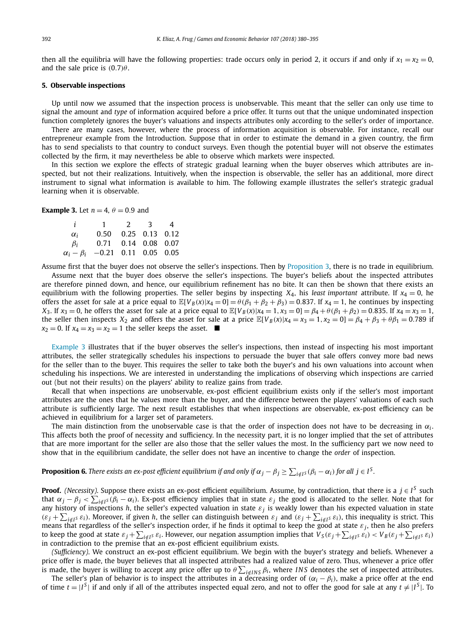<span id="page-12-0"></span>then all the equilibria will have the following properties: trade occurs only in period 2, it occurs if and only if  $x_1 = x_2 = 0$ , and the sale price is  $(0.7)$ *θ*.

## **5. Observable inspections**

Up until now we assumed that the inspection process is unobservable. This meant that the seller can only use time to signal the amount and *type* of information acquired before a price offer. It turns out that the unique undominated inspection function completely ignores the buyer's valuations and inspects attributes only according to the seller's order of importance.

There are many cases, however, where the process of information acquisition is observable. For instance, recall our entrepreneur example from the Introduction. Suppose that in order to estimate the demand in a given country, the firm has to send specialists to that country to conduct surveys. Even though the potential buyer will not observe the estimates collected by the firm, it may nevertheless be able to observe which markets were inspected.

In this section we explore the effects of strategic gradual learning when the buyer observes which attributes are inspected, but not their realizations. Intuitively, when the inspection is observable, the seller has an additional, more direct instrument to signal what information is available to him. The following example illustrates the seller's strategic gradual learning when it is observable.

**Example 3.** Let  $n = 4$ ,  $\theta = 0.9$  and

| $\mathbf{i}$ | $\mathbf{1}$                              |                             | $2 \sqrt{3}$ | $\overline{4}$ |
|--------------|-------------------------------------------|-----------------------------|--------------|----------------|
| $\alpha_i$   |                                           | $0.50$ $0.25$ $0.13$ $0.12$ |              |                |
| $\beta_i$    | $0.71$ $0.14$ $0.08$ $0.07$               |                             |              |                |
|              | $\alpha_i - \beta_i$ -0.21 0.11 0.05 0.05 |                             |              |                |

Assume first that the buyer does not observe the seller's inspections. Then by [Proposition 3,](#page-9-0) there is no trade in equilibrium.

Assume next that the buyer does observe the seller's inspections. The buyer's beliefs about the inspected attributes are therefore pinned down, and hence, our equilibrium refinement has no bite. It can then be shown that there exists an equilibrium with the following properties. The seller begins by inspecting  $X_4$ , his *least important* attribute. If  $x_4 = 0$ , he offers the asset for sale at a price equal to  $\mathbb{E}[V_B(x)|x_4 = 0] = \theta(\beta_1 + \beta_2 + \beta_3) = 0.837$ . If  $x_4 = 1$ , he continues by inspecting  $X_3$ . If  $x_3 = 0$ , he offers the asset for sale at a price equal to  $\mathbb{E}[V_B(x)|x_4 = 1, x_3 = 0] = \beta_4 + \theta(\beta_1 + \beta_2) = 0.835$ . If  $x_4 = x_3 = 1$ , the seller then inspects  $X_2$  and offers the asset for sale at a price  $\mathbb{E}[V_B(x)|x_4 = x_3 = 1, x_2 = 0] = \beta_4 + \beta_3 + \beta_1 = 0.789$  if  $x_2 = 0$ . If  $x_4 = x_3 = x_2 = 1$  the seller keeps the asset.  $\blacksquare$ 

Example 3 illustrates that if the buyer observes the seller's inspections, then instead of inspecting his most important attributes, the seller strategically schedules his inspections to persuade the buyer that sale offers convey more bad news for the seller than to the buyer. This requires the seller to take both the buyer's and his own valuations into account when scheduling his inspections. We are interested in understanding the implications of observing which inspections are carried out (but not their results) on the players' ability to realize gains from trade.

Recall that when inspections are unobservable, ex-post efficient equilibrium exists only if the seller's most important attributes are the ones that he values more than the buyer, and the difference between the players' valuations of each such attribute is sufficiently large. The next result establishes that when inspections are observable, ex-post efficiency can be achieved in equilibrium for a larger set of parameters.

The main distinction from the unobservable case is that the order of inspection does not have to be decreasing in  $\alpha_i$ . This affects both the proof of necessity and sufficiency. In the necessity part, it is no longer implied that the set of attributes that are more important for the seller are also those that the seller values the most. In the sufficiency part we now need to show that in the equilibrium candidate, the seller does not have an incentive to change the *order* of inspection.

**Proposition 6.** There exists an ex-post efficient equilibrium if and only if  $\alpha_j-\beta_j\geq\sum_{i\notin I^S}(\beta_i-\alpha_i)$  for all  $j\in I^S$ .

**Proof.** (*Necessity*). Suppose there exists an ex-post efficient equilibrium. Assume, by contradiction, that there is a *j* ∈ *I*<sup>S</sup> such that  $\alpha_j-\beta_j<\sum_{i\notin I^S}(\beta_i-\alpha_i)$ . Ex-post efficiency implies that in state  $\varepsilon_j$  the good is allocated to the seller. Note that for any history of inspections *h*, the seller's expected valuation in state *ε<sup>j</sup>* is weakly lower than his expected valuation in state  $(\varepsilon_j + \sum_{i \notin I^S} \varepsilon_i)$ . Moreover, if given h, the seller can distinguish between  $\varepsilon_j$  and  $(\varepsilon_j + \sum_{i \notin I^S} \varepsilon_i)$ , this inequality is strict. This means that regardless of the seller's inspection order, if he finds it optimal to keep the good at state  $\varepsilon_j$ , then he also prefers to keep the good at state  $\varepsilon_j+\sum_{i\notin I^S}\varepsilon_i.$  However, our negation assumption implies that  $V_S(\varepsilon_j+\sum_{i\notin I^S}\varepsilon_i)< V_B(\varepsilon_j+\sum_{i\notin I^S}\varepsilon_i)$ in contradiction to the premise that an ex-post efficient equilibrium exists.

*(Sufficiency)*. We construct an ex-post efficient equilibrium. We begin with the buyer's strategy and beliefs. Whenever a price offer is made, the buyer believes that all inspected attributes had a realized value of zero. Thus, whenever a price offer is made, the buyer is willing to accept any price offer up to  $\theta\sum_{i\notin INS}\beta_i$ , where *INS* denotes the set of inspected attributes.

The seller's plan of behavior is to inspect the attributes in a decreasing order of  $(\alpha_i-\beta_i)$ , make a price offer at the end of time  $t = |I^S|$  if and only if all of the attributes inspected equal zero, and not to offer the good for sale at any  $t \neq |I^S|$ . To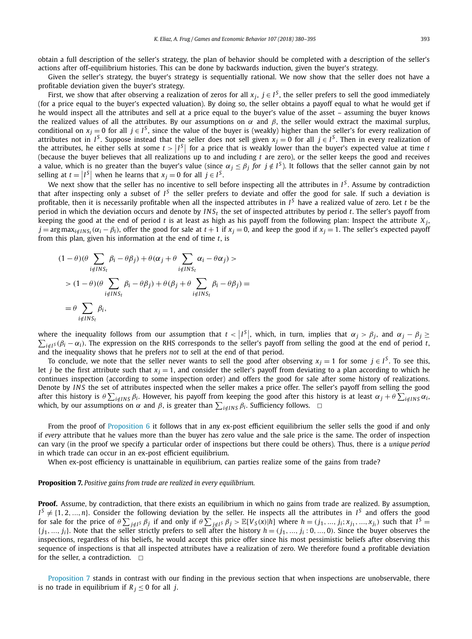obtain a full description of the seller's strategy, the plan of behavior should be completed with a description of the seller's actions after off-equilibrium histories. This can be done by backwards induction, given the buyer's strategy.

Given the seller's strategy, the buyer's strategy is sequentially rational. We now show that the seller does not have a profitable deviation given the buyer's strategy.

First, we show that after observing a realization of zeros for all  $x_j$ ,  $j \in I^S$ , the seller prefers to sell the good immediately (for a price equal to the buyer's expected valuation). By doing so, the seller obtains a payoff equal to what he would get if he would inspect all the attributes and sell at a price equal to the buyer's value of the asset – assuming the buyer knows the realized values of all the attributes. By our assumptions on *α* and *β*, the seller would extract the maximal surplus, conditional on  $x_i = 0$  for all  $j \in I^S$ , since the value of the buyer is (weakly) higher than the seller's for every realization of attributes not in *I*<sup>S</sup>. Suppose instead that the seller does not sell given  $x_j = 0$  for all  $j \in I^S$ . Then in every realization of the attributes, he either sells at some  $t > |I^S|$  for a price that is weakly lower than the buyer's expected value at time *t* (because the buyer believes that all realizations up to and including *t* are zero), or the seller keeps the good and receives a value, which is no greater than the buyer's value (since  $\alpha_j \leq \beta_j$  for  $j \notin I^S$ ). It follows that the seller cannot gain by not selling at  $t = |I^S|$  when he learns that  $x_j = 0$  for all  $j \in I^S$ .

We next show that the seller has no incentive to sell before inspecting all the attributes in  $I<sup>S</sup>$ . Assume by contradiction that after inspecting only a subset of  $I^S$  the seller prefers to deviate and offer the good for sale. If such a deviation is profitable, then it is necessarily profitable when all the inspected attributes in *I <sup>S</sup>* have a realized value of zero. Let *t* be the period in which the deviation occurs and denote by *INSt* the set of inspected attributes by period *t*. The seller's payoff from keeping the good at the end of period  $t$  is at least as high as his payoff from the following plan: Inspect the attribute  $X_j$ ,  $j = \arg \max_{i \notin INS_r} (\alpha_i - \beta_i)$ , offer the good for sale at  $t + 1$  if  $x_j = 0$ , and keep the good if  $x_j = 1$ . The seller's expected payoff from this plan, given his information at the end of time *t*, is

$$
(1 - \theta)(\theta \sum_{i \notin INS_t} \beta_i - \theta \beta_j) + \theta(\alpha_j + \theta \sum_{i \notin INS_t} \alpha_i - \theta \alpha_j) >
$$
  
> 
$$
(1 - \theta)(\theta \sum_{i \notin INS_t} \beta_i - \theta \beta_j) + \theta(\beta_j + \theta \sum_{i \notin INS_t} \beta_i - \theta \beta_j) =
$$
  
= 
$$
\theta \sum_{i \notin INS_t} \beta_i,
$$

where the inequality follows from our assumption that  $t < |I^S|$ , which, in turn, implies that  $\alpha_j > \beta_j$ , and  $\alpha_j - \beta_j \ge \sum_{i=1}^N \alpha_i(\alpha_i, \alpha_j)$ . The improvements on the BIG convenient to the seller's gauge from selling the g  $\sum_{i \notin I^S} (\beta_i - \alpha_i)$ . The expression on the RHS corresponds to the seller's payoff from selling the good at the end of period *t*, and the inequality shows that he prefers *not* to sell at the end of that period.

To conclude, we note that the seller never wants to sell the good after observing  $x_i = 1$  for some  $j \in I^S$ . To see this, let *j* be the first attribute such that  $x_j = 1$ , and consider the seller's payoff from deviating to a plan according to which he continues inspection (according to some inspection order) and offers the good for sale after some history of realizations. Denote by *INS* the set of attributes inspected when the seller makes a price offer. The seller's payoff from selling the good after this history is  $\theta\sum_{i\notin INS}\beta_i.$  However, his payoff from keeping the good after this history is at least  $\alpha_j+\theta\sum_{i\notin INS}\alpha_i.$ which, by our assumptions on  $\alpha$  and  $\beta$ , is greater than  $\sum_{i \notin INS} \beta_i$ . Sufficiency follows.  $\Box$ 

From the proof of [Proposition 6](#page-12-0) it follows that in any ex-post efficient equilibrium the seller sells the good if and only if *every* attribute that he values more than the buyer has zero value and the sale price is the same. The order of inspection can vary (in the proof we specify a particular order of inspections but there could be others). Thus, there is a *unique period* in which trade can occur in an ex-post efficient equilibrium.

When ex-post efficiency is unattainable in equilibrium, can parties realize some of the gains from trade?

# **Proposition 7.** *Positive gains from trade are realized in every equilibrium.*

**Proof.** Assume, by contradiction, that there exists an equilibrium in which no gains from trade are realized. By assumption,  $I^S \neq \{1, 2, ..., n\}$ . Consider the following deviation by the seller. He inspects all the attributes in  $I^S$  and offers the good for sale for the price of  $\theta \sum_{j \notin I^S} \beta_j$  if and only if  $\theta \sum_{j \notin I^S} \beta_j > \mathbb{E}[V_S(x)|h]$  where  $h = (j_1, ..., j_i; x_{j_1}, ..., x_{j_i})$  such that  $I^S =$  ${j_1, ..., j_i}$ . Note that the seller strictly prefers to sell after the history  $h = (j_1, ..., j_i : 0, ..., 0)$ . Since the buyer observes the inspections, regardless of his beliefs, he would accept this price offer since his most pessimistic beliefs after observing this sequence of inspections is that all inspected attributes have a realization of zero. We therefore found a profitable deviation for the seller, a contradiction.  $\Box$ 

Proposition 7 stands in contrast with our finding in the previous section that when inspections are unobservable, there is no trade in equilibrium if  $R_i \leq 0$  for all *j*.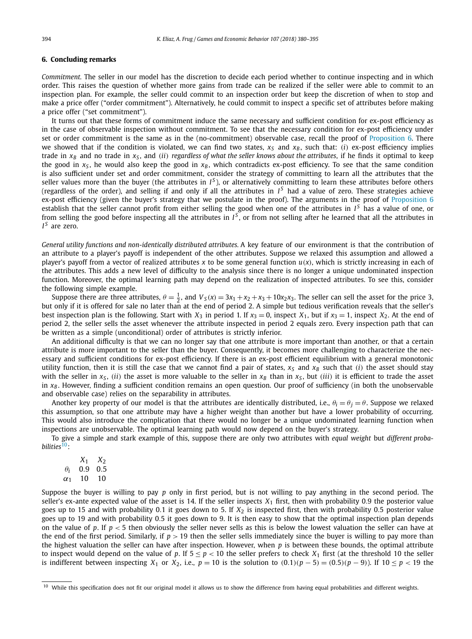# <span id="page-14-0"></span>**6. Concluding remarks**

*Commitment.* The seller in our model has the discretion to decide each period whether to continue inspecting and in which order. This raises the question of whether more gains from trade can be realized if the seller were able to commit to an inspection plan. For example, the seller could commit to an inspection order but keep the discretion of when to stop and make a price offer ("order commitment"). Alternatively, he could commit to inspect a specific set of attributes before making a price offer ("set commitment").

It turns out that these forms of commitment induce the same necessary and sufficient condition for ex-post efficiency as in the case of observable inspection without commitment. To see that the necessary condition for ex-post efficiency under set or order commitment is the same as in the (no-commitment) observable case, recall the proof of [Proposition 6.](#page-12-0) There we showed that if the condition is violated, we can find two states,  $x_S$  and  $x_B$ , such that: *(i)* ex-post efficiency implies trade in  $x_B$  and no trade in  $x_S$ , and (ii) regardless of what the seller knows about the attributes, if he finds it optimal to keep the good in  $x_S$ , he would also keep the good in  $x_B$ , which contradicts ex-post efficiency. To see that the same condition is also sufficient under set and order commitment, consider the strategy of committing to learn all the attributes that the seller values more than the buyer (the attributes in  $I^S$ ), or alternatively committing to learn these attributes before others (regardless of the order), and selling if and only if all the attributes in  $I<sup>S</sup>$  had a value of zero. These strategies achieve ex-post efficiency (given the buyer's strategy that we postulate in the proof). The arguments in the proof of [Proposition 6](#page-12-0) establish that the seller cannot profit from either selling the good when one of the attributes in *I <sup>S</sup>* has a value of one, or from selling the good before inspecting all the attributes in  $I^S$ , or from not selling after he learned that all the attributes in  $I^S$  are zero.

*General utility functions and non-identically distributed attributes.* A key feature of our environment is that the contribution of an attribute to a player's payoff is independent of the other attributes. Suppose we relaxed this assumption and allowed a player's payoff from a vector of realized attributes *x* to be some general function *u(x)*, which is strictly increasing in each of the attributes. This adds a new level of difficulty to the analysis since there is no longer a unique undominated inspection function. Moreover, the optimal learning path may depend on the realization of inspected attributes. To see this, consider the following simple example.

Suppose there are three attributes,  $\theta = \frac{1}{2}$ , and  $V_S(x) = 3x_1 + x_2 + x_3 + 10x_2x_3$ . The seller can sell the asset for the price 3, but only if it is offered for sale no later than at the end of period 2. A simple but tedious verification reveals that the seller's best inspection plan is the following. Start with  $X_3$  in period 1. If  $x_3 = 0$ , inspect  $X_1$ , but if  $x_3 = 1$ , inspect  $X_2$ . At the end of period 2, the seller sells the asset whenever the attribute inspected in period 2 equals zero. Every inspection path that can be written as a simple (unconditional) order of attributes is strictly inferior.

An additional difficulty is that we can no longer say that one attribute is more important than another, or that a certain attribute is more important to the seller than the buyer. Consequently, it becomes more challenging to characterize the necessary and sufficient conditions for ex-post efficiency. If there is an ex-post efficient equilibrium with a general monotonic utility function, then it is still the case that we cannot find a pair of states,  $x_S$  and  $x_B$  such that *(i)* the asset should stay with the seller in  $x_S$ , *(ii)* the asset is more valuable to the seller in  $x_B$  than in  $x_S$ , but *(iii)* it is efficient to trade the asset in  $x_B$ . However, finding a sufficient condition remains an open question. Our proof of sufficiency (in both the unobservable and observable case) relies on the separability in attributes.

Another key property of our model is that the attributes are identically distributed, i.e.,  $\theta_i = \theta_i = \theta$ . Suppose we relaxed this assumption, so that one attribute may have a higher weight than another but have a lower probability of occurring. This would also introduce the complication that there would no longer be a unique undominated learning function when inspections are unobservable. The optimal learning path would now depend on the buyer's strategy.

To give a simple and stark example of this, suppose there are only two attributes with *equal weight* but *different probabilities*10:

|            | X1  | $X_2$ |
|------------|-----|-------|
| $\theta_i$ | 0.9 | 0.5   |
| $\alpha_1$ | 10  | 10    |

Suppose the buyer is willing to pay *p* only in first period, but is not willing to pay anything in the second period. The seller's ex-ante expected value of the asset is 14. If the seller inspects  $X_1$  first, then with probability 0.9 the posterior value goes up to 15 and with probability 0*.*1 it goes down to 5. If *X*<sup>2</sup> is inspected first, then with probability 0*.*5 posterior value goes up to 19 and with probability 0*.*5 it goes down to 9. It is then easy to show that the optimal inspection plan depends on the value of *p*. If *p <* 5 then obviously the seller never sells as this is below the lowest valuation the seller can have at the end of the first period. Similarly, if  $p > 19$  then the seller sells immediately since the buyer is willing to pay more than the highest valuation the seller can have after inspection. However, when *p* is between these bounds, the optimal attribute to inspect would depend on the value of p. If  $5 \le p < 10$  the seller prefers to check  $X_1$  first (at the threshold 10 the seller is indifferent between inspecting  $X_1$  or  $X_2$ , i.e.,  $p = 10$  is the solution to  $(0.1)(p - 5) = (0.5)(p - 9)$ . If  $10 \le p < 19$  the

<sup>&</sup>lt;sup>10</sup> While this specification does not fit our original model it allows us to show the difference from having equal probabilities and different weights.